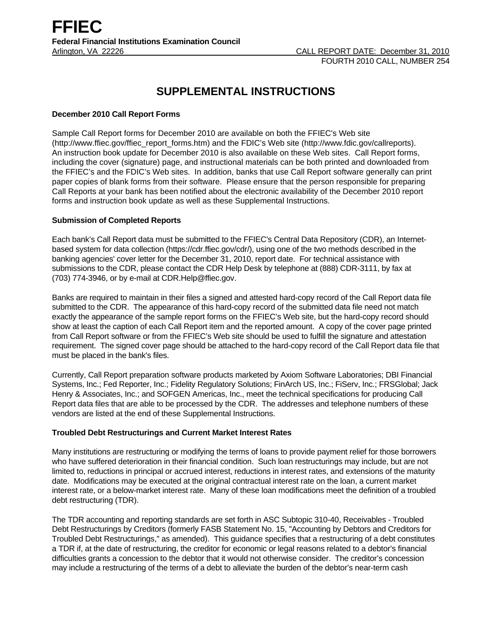# **SUPPLEMENTAL INSTRUCTIONS**

# **December 2010 Call Report Forms**

Sample Call Report forms for December 2010 are available on both the FFIEC's Web site (http://www.ffiec.gov/ffiec\_report\_forms.htm) and the FDIC's Web site (http://www.fdic.gov/callreports). An instruction book update for December 2010 is also available on these Web sites. Call Report forms, including the cover (signature) page, and instructional materials can be both printed and downloaded from the FFIEC's and the FDIC's Web sites. In addition, banks that use Call Report software generally can print paper copies of blank forms from their software. Please ensure that the person responsible for preparing Call Reports at your bank has been notified about the electronic availability of the December 2010 report forms and instruction book update as well as these Supplemental Instructions.

## **Submission of Completed Reports**

Each bank's Call Report data must be submitted to the FFIEC's Central Data Repository (CDR), an Internetbased system for data collection (https://cdr.ffiec.gov/cdr/), using one of the two methods described in the banking agencies' cover letter for the December 31, 2010, report date. For technical assistance with submissions to the CDR, please contact the CDR Help Desk by telephone at (888) CDR-3111, by fax at (703) 774-3946, or by e-mail at CDR.Help@ffiec.gov.

Banks are required to maintain in their files a signed and attested hard-copy record of the Call Report data file submitted to the CDR. The appearance of this hard-copy record of the submitted data file need not match exactly the appearance of the sample report forms on the FFIEC's Web site, but the hard-copy record should show at least the caption of each Call Report item and the reported amount. A copy of the cover page printed from Call Report software or from the FFIEC's Web site should be used to fulfill the signature and attestation requirement. The signed cover page should be attached to the hard-copy record of the Call Report data file that must be placed in the bank's files.

Currently, Call Report preparation software products marketed by Axiom Software Laboratories; DBI Financial Systems, Inc.; Fed Reporter, Inc.; Fidelity Regulatory Solutions; FinArch US, Inc.; FiServ, Inc.; FRSGlobal; Jack Henry & Associates, Inc.; and SOFGEN Americas, Inc., meet the technical specifications for producing Call Report data files that are able to be processed by the CDR. The addresses and telephone numbers of these vendors are listed at the end of these Supplemental Instructions.

## **Troubled Debt Restructurings and Current Market Interest Rates**

Many institutions are restructuring or modifying the terms of loans to provide payment relief for those borrowers who have suffered deterioration in their financial condition. Such loan restructurings may include, but are not limited to, reductions in principal or accrued interest, reductions in interest rates, and extensions of the maturity date. Modifications may be executed at the original contractual interest rate on the loan, a current market interest rate, or a below-market interest rate. Many of these loan modifications meet the definition of a troubled debt restructuring (TDR).

The TDR accounting and reporting standards are set forth in ASC Subtopic 310-40, Receivables - Troubled Debt Restructurings by Creditors (formerly FASB Statement No. 15, "Accounting by Debtors and Creditors for Troubled Debt Restructurings," as amended). This guidance specifies that a restructuring of a debt constitutes a TDR if, at the date of restructuring, the creditor for economic or legal reasons related to a debtor's financial difficulties grants a concession to the debtor that it would not otherwise consider. The creditor's concession may include a restructuring of the terms of a debt to alleviate the burden of the debtor's near-term cash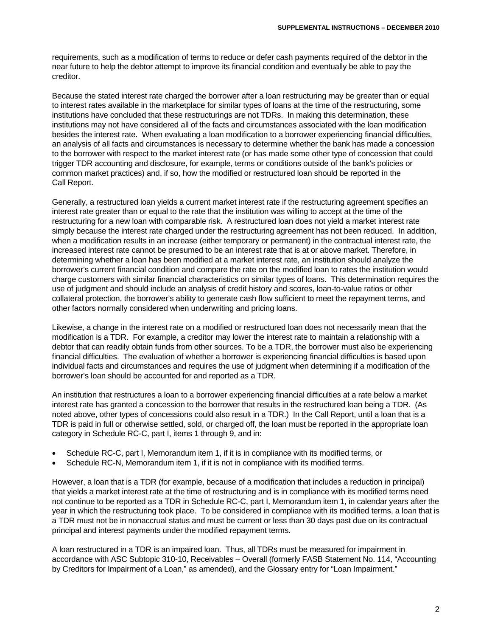requirements, such as a modification of terms to reduce or defer cash payments required of the debtor in the near future to help the debtor attempt to improve its financial condition and eventually be able to pay the creditor.

Because the stated interest rate charged the borrower after a loan restructuring may be greater than or equal to interest rates available in the marketplace for similar types of loans at the time of the restructuring, some institutions have concluded that these restructurings are not TDRs. In making this determination, these institutions may not have considered all of the facts and circumstances associated with the loan modification besides the interest rate. When evaluating a loan modification to a borrower experiencing financial difficulties, an analysis of all facts and circumstances is necessary to determine whether the bank has made a concession to the borrower with respect to the market interest rate (or has made some other type of concession that could trigger TDR accounting and disclosure, for example, terms or conditions outside of the bank's policies or common market practices) and, if so, how the modified or restructured loan should be reported in the Call Report.

Generally, a restructured loan yields a current market interest rate if the restructuring agreement specifies an interest rate greater than or equal to the rate that the institution was willing to accept at the time of the restructuring for a new loan with comparable risk. A restructured loan does not yield a market interest rate simply because the interest rate charged under the restructuring agreement has not been reduced. In addition, when a modification results in an increase (either temporary or permanent) in the contractual interest rate, the increased interest rate cannot be presumed to be an interest rate that is at or above market. Therefore, in determining whether a loan has been modified at a market interest rate, an institution should analyze the borrower's current financial condition and compare the rate on the modified loan to rates the institution would charge customers with similar financial characteristics on similar types of loans. This determination requires the use of judgment and should include an analysis of credit history and scores, loan-to-value ratios or other collateral protection, the borrower's ability to generate cash flow sufficient to meet the repayment terms, and other factors normally considered when underwriting and pricing loans.

Likewise, a change in the interest rate on a modified or restructured loan does not necessarily mean that the modification is a TDR. For example, a creditor may lower the interest rate to maintain a relationship with a debtor that can readily obtain funds from other sources. To be a TDR, the borrower must also be experiencing financial difficulties. The evaluation of whether a borrower is experiencing financial difficulties is based upon individual facts and circumstances and requires the use of judgment when determining if a modification of the borrower's loan should be accounted for and reported as a TDR.

An institution that restructures a loan to a borrower experiencing financial difficulties at a rate below a market interest rate has granted a concession to the borrower that results in the restructured loan being a TDR. (As noted above, other types of concessions could also result in a TDR.) In the Call Report, until a loan that is a TDR is paid in full or otherwise settled, sold, or charged off, the loan must be reported in the appropriate loan category in Schedule RC-C, part I, items 1 through 9, and in:

- Schedule RC-C, part I, Memorandum item 1, if it is in compliance with its modified terms, or
- Schedule RC-N, Memorandum item 1, if it is not in compliance with its modified terms.

However, a loan that is a TDR (for example, because of a modification that includes a reduction in principal) that yields a market interest rate at the time of restructuring and is in compliance with its modified terms need not continue to be reported as a TDR in Schedule RC-C, part I, Memorandum item 1, in calendar years after the year in which the restructuring took place. To be considered in compliance with its modified terms, a loan that is a TDR must not be in nonaccrual status and must be current or less than 30 days past due on its contractual principal and interest payments under the modified repayment terms.

A loan restructured in a TDR is an impaired loan. Thus, all TDRs must be measured for impairment in accordance with ASC Subtopic 310-10, Receivables – Overall (formerly FASB Statement No. 114, "Accounting by Creditors for Impairment of a Loan," as amended), and the Glossary entry for "Loan Impairment."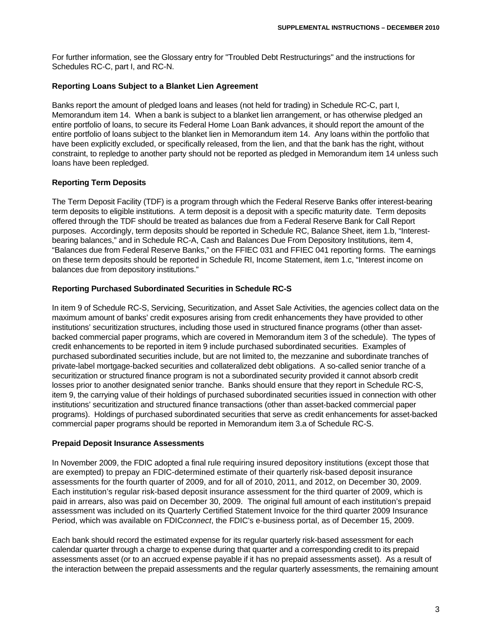For further information, see the Glossary entry for "Troubled Debt Restructurings" and the instructions for Schedules RC-C, part I, and RC-N.

#### **Reporting Loans Subject to a Blanket Lien Agreement**

Banks report the amount of pledged loans and leases (not held for trading) in Schedule RC-C, part I, Memorandum item 14. When a bank is subject to a blanket lien arrangement, or has otherwise pledged an entire portfolio of loans, to secure its Federal Home Loan Bank advances, it should report the amount of the entire portfolio of loans subject to the blanket lien in Memorandum item 14. Any loans within the portfolio that have been explicitly excluded, or specifically released, from the lien, and that the bank has the right, without constraint, to repledge to another party should not be reported as pledged in Memorandum item 14 unless such loans have been repledged.

## **Reporting Term Deposits**

The Term Deposit Facility (TDF) is a program through which the Federal Reserve Banks offer interest-bearing term deposits to eligible institutions. A term deposit is a deposit with a specific maturity date. Term deposits offered through the TDF should be treated as balances due from a Federal Reserve Bank for Call Report purposes. Accordingly, term deposits should be reported in Schedule RC, Balance Sheet, item 1.b, "Interestbearing balances," and in Schedule RC-A, Cash and Balances Due From Depository Institutions, item 4, "Balances due from Federal Reserve Banks," on the FFIEC 031 and FFIEC 041 reporting forms. The earnings on these term deposits should be reported in Schedule RI, Income Statement, item 1.c, "Interest income on balances due from depository institutions."

#### **Reporting Purchased Subordinated Securities in Schedule RC-S**

In item 9 of Schedule RC-S, Servicing, Securitization, and Asset Sale Activities, the agencies collect data on the maximum amount of banks' credit exposures arising from credit enhancements they have provided to other institutions' securitization structures, including those used in structured finance programs (other than assetbacked commercial paper programs, which are covered in Memorandum item 3 of the schedule). The types of credit enhancements to be reported in item 9 include purchased subordinated securities. Examples of purchased subordinated securities include, but are not limited to, the mezzanine and subordinate tranches of private-label mortgage-backed securities and collateralized debt obligations. A so-called senior tranche of a securitization or structured finance program is not a subordinated security provided it cannot absorb credit losses prior to another designated senior tranche. Banks should ensure that they report in Schedule RC-S, item 9, the carrying value of their holdings of purchased subordinated securities issued in connection with other institutions' securitization and structured finance transactions (other than asset-backed commercial paper programs). Holdings of purchased subordinated securities that serve as credit enhancements for asset-backed commercial paper programs should be reported in Memorandum item 3.a of Schedule RC-S.

#### **Prepaid Deposit Insurance Assessments**

In November 2009, the FDIC adopted a final rule requiring insured depository institutions (except those that are exempted) to prepay an FDIC-determined estimate of their quarterly risk-based deposit insurance assessments for the fourth quarter of 2009, and for all of 2010, 2011, and 2012, on December 30, 2009. Each institution's regular risk-based deposit insurance assessment for the third quarter of 2009, which is paid in arrears, also was paid on December 30, 2009. The original full amount of each institution's prepaid assessment was included on its Quarterly Certified Statement Invoice for the third quarter 2009 Insurance Period, which was available on FDIC*connect*, the FDIC's e-business portal, as of December 15, 2009.

Each bank should record the estimated expense for its regular quarterly risk-based assessment for each calendar quarter through a charge to expense during that quarter and a corresponding credit to its prepaid assessments asset (or to an accrued expense payable if it has no prepaid assessments asset). As a result of the interaction between the prepaid assessments and the regular quarterly assessments, the remaining amount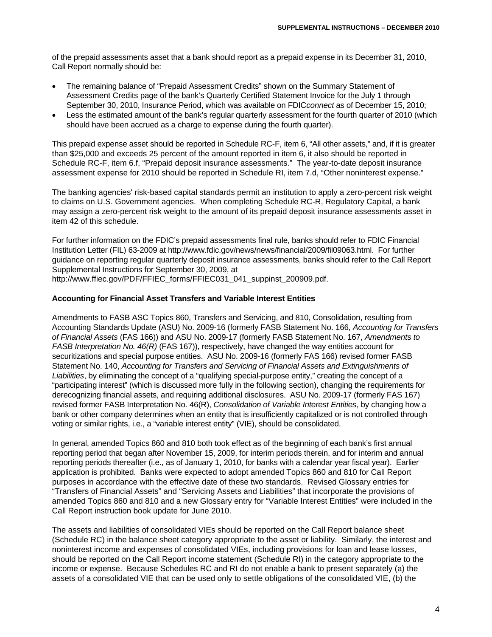of the prepaid assessments asset that a bank should report as a prepaid expense in its December 31, 2010, Call Report normally should be:

- The remaining balance of "Prepaid Assessment Credits" shown on the Summary Statement of Assessment Credits page of the bank's Quarterly Certified Statement Invoice for the July 1 through September 30, 2010, Insurance Period, which was available on FDIC*connect* as of December 15, 2010;
- Less the estimated amount of the bank's regular quarterly assessment for the fourth quarter of 2010 (which should have been accrued as a charge to expense during the fourth quarter).

This prepaid expense asset should be reported in Schedule RC-F, item 6, "All other assets," and, if it is greater than \$25,000 and exceeds 25 percent of the amount reported in item 6, it also should be reported in Schedule RC-F, item 6.f, "Prepaid deposit insurance assessments." The year-to-date deposit insurance assessment expense for 2010 should be reported in Schedule RI, item 7.d, "Other noninterest expense."

The banking agencies' risk-based capital standards permit an institution to apply a zero-percent risk weight to claims on U.S. Government agencies. When completing Schedule RC-R, Regulatory Capital, a bank may assign a zero-percent risk weight to the amount of its prepaid deposit insurance assessments asset in item 42 of this schedule.

For further information on the FDIC's prepaid assessments final rule, banks should refer to FDIC Financial Institution Letter (FIL) 63-2009 at http://www.fdic.gov/news/news/financial/2009/fil09063.html. For further guidance on reporting regular quarterly deposit insurance assessments, banks should refer to the Call Report Supplemental Instructions for September 30, 2009, at

http://www.ffiec.gov/PDF/FFIEC\_forms/FFIEC031\_041\_suppinst\_200909.pdf.

#### **Accounting for Financial Asset Transfers and Variable Interest Entities**

Amendments to FASB ASC Topics 860, Transfers and Servicing, and 810, Consolidation, resulting from Accounting Standards Update (ASU) No. 2009-16 (formerly FASB Statement No. 166, *Accounting for Transfers of Financial Assets* (FAS 166)) and ASU No. 2009-17 (formerly FASB Statement No. 167, *Amendments to FASB Interpretation No. 46(R)* (FAS 167)), respectively, have changed the way entities account for securitizations and special purpose entities. ASU No. 2009-16 (formerly FAS 166) revised former FASB Statement No. 140, *Accounting for Transfers and Servicing of Financial Assets and Extinguishments of Liabilities*, by eliminating the concept of a "qualifying special-purpose entity," creating the concept of a "participating interest" (which is discussed more fully in the following section), changing the requirements for derecognizing financial assets, and requiring additional disclosures. ASU No. 2009-17 (formerly FAS 167) revised former FASB Interpretation No. 46(R), *Consolidation of Variable Interest Entities*, by changing how a bank or other company determines when an entity that is insufficiently capitalized or is not controlled through voting or similar rights, i.e., a "variable interest entity" (VIE), should be consolidated.

In general, amended Topics 860 and 810 both took effect as of the beginning of each bank's first annual reporting period that began after November 15, 2009, for interim periods therein, and for interim and annual reporting periods thereafter (i.e., as of January 1, 2010, for banks with a calendar year fiscal year). Earlier application is prohibited. Banks were expected to adopt amended Topics 860 and 810 for Call Report purposes in accordance with the effective date of these two standards. Revised Glossary entries for "Transfers of Financial Assets" and "Servicing Assets and Liabilities" that incorporate the provisions of amended Topics 860 and 810 and a new Glossary entry for "Variable Interest Entities" were included in the Call Report instruction book update for June 2010.

The assets and liabilities of consolidated VIEs should be reported on the Call Report balance sheet (Schedule RC) in the balance sheet category appropriate to the asset or liability. Similarly, the interest and noninterest income and expenses of consolidated VIEs, including provisions for loan and lease losses, should be reported on the Call Report income statement (Schedule RI) in the category appropriate to the income or expense. Because Schedules RC and RI do not enable a bank to present separately (a) the assets of a consolidated VIE that can be used only to settle obligations of the consolidated VIE, (b) the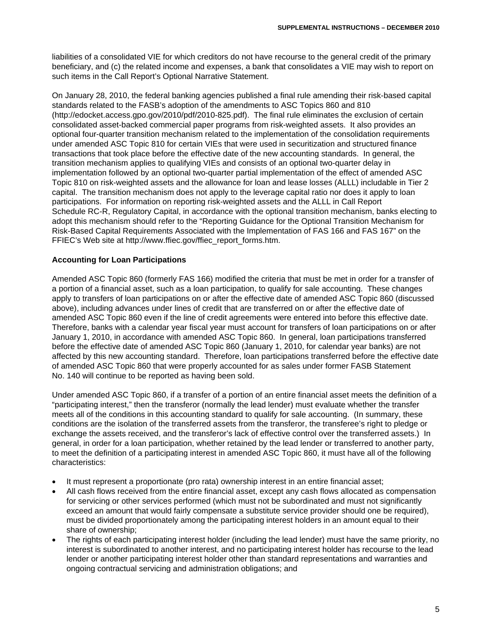liabilities of a consolidated VIE for which creditors do not have recourse to the general credit of the primary beneficiary, and (c) the related income and expenses, a bank that consolidates a VIE may wish to report on such items in the Call Report's Optional Narrative Statement.

On January 28, 2010, the federal banking agencies published a final rule amending their risk-based capital standards related to the FASB's adoption of the amendments to ASC Topics 860 and 810 (http://edocket.access.gpo.gov/2010/pdf/2010-825.pdf). The final rule eliminates the exclusion of certain consolidated asset-backed commercial paper programs from risk-weighted assets. It also provides an optional four-quarter transition mechanism related to the implementation of the consolidation requirements under amended ASC Topic 810 for certain VIEs that were used in securitization and structured finance transactions that took place before the effective date of the new accounting standards. In general, the transition mechanism applies to qualifying VIEs and consists of an optional two-quarter delay in implementation followed by an optional two-quarter partial implementation of the effect of amended ASC Topic 810 on risk-weighted assets and the allowance for loan and lease losses (ALLL) includable in Tier 2 capital. The transition mechanism does not apply to the leverage capital ratio nor does it apply to loan participations. For information on reporting risk-weighted assets and the ALLL in Call Report Schedule RC-R, Regulatory Capital, in accordance with the optional transition mechanism, banks electing to adopt this mechanism should refer to the "Reporting Guidance for the Optional Transition Mechanism for Risk-Based Capital Requirements Associated with the Implementation of FAS 166 and FAS 167" on the FFIEC's Web site at http://www.ffiec.gov/ffiec\_report\_forms.htm.

## **Accounting for Loan Participations**

Amended ASC Topic 860 (formerly FAS 166) modified the criteria that must be met in order for a transfer of a portion of a financial asset, such as a loan participation, to qualify for sale accounting. These changes apply to transfers of loan participations on or after the effective date of amended ASC Topic 860 (discussed above), including advances under lines of credit that are transferred on or after the effective date of amended ASC Topic 860 even if the line of credit agreements were entered into before this effective date. Therefore, banks with a calendar year fiscal year must account for transfers of loan participations on or after January 1, 2010, in accordance with amended ASC Topic 860. In general, loan participations transferred before the effective date of amended ASC Topic 860 (January 1, 2010, for calendar year banks) are not affected by this new accounting standard. Therefore, loan participations transferred before the effective date of amended ASC Topic 860 that were properly accounted for as sales under former FASB Statement No. 140 will continue to be reported as having been sold.

Under amended ASC Topic 860, if a transfer of a portion of an entire financial asset meets the definition of a "participating interest," then the transferor (normally the lead lender) must evaluate whether the transfer meets all of the conditions in this accounting standard to qualify for sale accounting. (In summary, these conditions are the isolation of the transferred assets from the transferor, the transferee's right to pledge or exchange the assets received, and the transferor's lack of effective control over the transferred assets.) In general, in order for a loan participation, whether retained by the lead lender or transferred to another party, to meet the definition of a participating interest in amended ASC Topic 860, it must have all of the following characteristics:

- It must represent a proportionate (pro rata) ownership interest in an entire financial asset;
- All cash flows received from the entire financial asset, except any cash flows allocated as compensation for servicing or other services performed (which must not be subordinated and must not significantly exceed an amount that would fairly compensate a substitute service provider should one be required), must be divided proportionately among the participating interest holders in an amount equal to their share of ownership;
- The rights of each participating interest holder (including the lead lender) must have the same priority, no interest is subordinated to another interest, and no participating interest holder has recourse to the lead lender or another participating interest holder other than standard representations and warranties and ongoing contractual servicing and administration obligations; and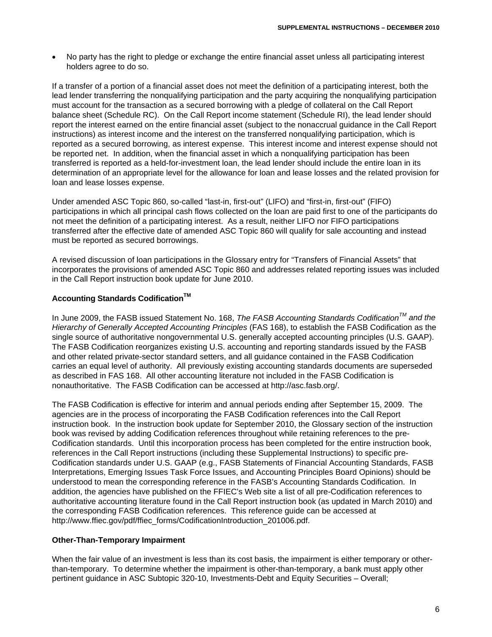No party has the right to pledge or exchange the entire financial asset unless all participating interest holders agree to do so.

If a transfer of a portion of a financial asset does not meet the definition of a participating interest, both the lead lender transferring the nonqualifying participation and the party acquiring the nonqualifying participation must account for the transaction as a secured borrowing with a pledge of collateral on the Call Report balance sheet (Schedule RC). On the Call Report income statement (Schedule RI), the lead lender should report the interest earned on the entire financial asset (subject to the nonaccrual guidance in the Call Report instructions) as interest income and the interest on the transferred nonqualifying participation, which is reported as a secured borrowing, as interest expense. This interest income and interest expense should not be reported net. In addition, when the financial asset in which a nonqualifying participation has been transferred is reported as a held-for-investment loan, the lead lender should include the entire loan in its determination of an appropriate level for the allowance for loan and lease losses and the related provision for loan and lease losses expense.

Under amended ASC Topic 860, so-called "last-in, first-out" (LIFO) and "first-in, first-out" (FIFO) participations in which all principal cash flows collected on the loan are paid first to one of the participants do not meet the definition of a participating interest. As a result, neither LIFO nor FIFO participations transferred after the effective date of amended ASC Topic 860 will qualify for sale accounting and instead must be reported as secured borrowings.

A revised discussion of loan participations in the Glossary entry for "Transfers of Financial Assets" that incorporates the provisions of amended ASC Topic 860 and addresses related reporting issues was included in the Call Report instruction book update for June 2010.

#### **Accounting Standards Codification<sup>™</sup>**

In June 2009, the FASB issued Statement No. 168, *The FASB Accounting Standards CodificationTM and the Hierarchy of Generally Accepted Accounting Principles* (FAS 168), to establish the FASB Codification as the single source of authoritative nongovernmental U.S. generally accepted accounting principles (U.S. GAAP). The FASB Codification reorganizes existing U.S. accounting and reporting standards issued by the FASB and other related private-sector standard setters, and all guidance contained in the FASB Codification carries an equal level of authority. All previously existing accounting standards documents are superseded as described in FAS 168. All other accounting literature not included in the FASB Codification is nonauthoritative. The FASB Codification can be accessed at http://asc.fasb.org/.

The FASB Codification is effective for interim and annual periods ending after September 15, 2009. The agencies are in the process of incorporating the FASB Codification references into the Call Report instruction book. In the instruction book update for September 2010, the Glossary section of the instruction book was revised by adding Codification references throughout while retaining references to the pre-Codification standards. Until this incorporation process has been completed for the entire instruction book, references in the Call Report instructions (including these Supplemental Instructions) to specific pre-Codification standards under U.S. GAAP (e.g., FASB Statements of Financial Accounting Standards, FASB Interpretations, Emerging Issues Task Force Issues, and Accounting Principles Board Opinions) should be understood to mean the corresponding reference in the FASB's Accounting Standards Codification. In addition, the agencies have published on the FFIEC's Web site a list of all pre-Codification references to authoritative accounting literature found in the Call Report instruction book (as updated in March 2010) and the corresponding FASB Codification references. This reference guide can be accessed at http://www.ffiec.gov/pdf/ffiec\_forms/CodificationIntroduction\_201006.pdf.

#### **Other-Than-Temporary Impairment**

When the fair value of an investment is less than its cost basis, the impairment is either temporary or otherthan-temporary. To determine whether the impairment is other-than-temporary, a bank must apply other pertinent guidance in ASC Subtopic 320-10, Investments-Debt and Equity Securities – Overall;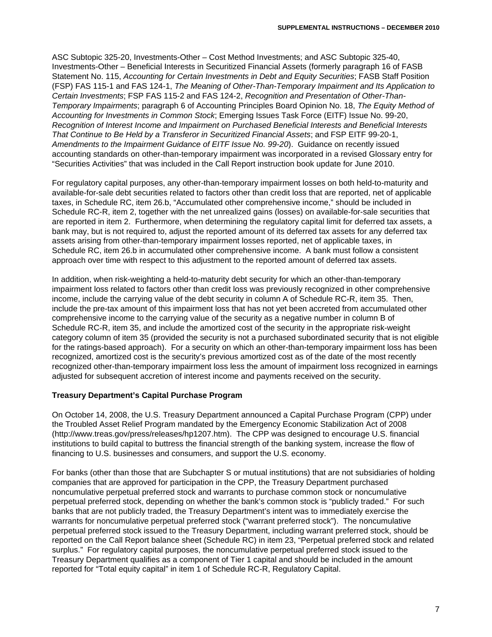ASC Subtopic 325-20, Investments-Other – Cost Method Investments; and ASC Subtopic 325-40, Investments-Other – Beneficial Interests in Securitized Financial Assets (formerly paragraph 16 of FASB Statement No. 115, *Accounting for Certain Investments in Debt and Equity Securities*; FASB Staff Position (FSP) FAS 115-1 and FAS 124-1, *The Meaning of Other-Than-Temporary Impairment and Its Application to Certain Investments*; FSP FAS 115-2 and FAS 124-2, *Recognition and Presentation of Other-Than-Temporary Impairments*; paragraph 6 of Accounting Principles Board Opinion No. 18, *The Equity Method of Accounting for Investments in Common Stock*; Emerging Issues Task Force (EITF) Issue No. 99-20, *Recognition of Interest Income and Impairment on Purchased Beneficial Interests and Beneficial Interests That Continue to Be Held by a Transferor in Securitized Financial Assets*; and FSP EITF 99-20-1, *Amendments to the Impairment Guidance of EITF Issue No. 99-20*). Guidance on recently issued accounting standards on other-than-temporary impairment was incorporated in a revised Glossary entry for "Securities Activities" that was included in the Call Report instruction book update for June 2010.

For regulatory capital purposes, any other-than-temporary impairment losses on both held-to-maturity and available-for-sale debt securities related to factors other than credit loss that are reported, net of applicable taxes, in Schedule RC, item 26.b, "Accumulated other comprehensive income," should be included in Schedule RC-R, item 2, together with the net unrealized gains (losses) on available-for-sale securities that are reported in item 2. Furthermore, when determining the regulatory capital limit for deferred tax assets, a bank may, but is not required to, adjust the reported amount of its deferred tax assets for any deferred tax assets arising from other-than-temporary impairment losses reported, net of applicable taxes, in Schedule RC, item 26.b in accumulated other comprehensive income. A bank must follow a consistent approach over time with respect to this adjustment to the reported amount of deferred tax assets.

In addition, when risk-weighting a held-to-maturity debt security for which an other-than-temporary impairment loss related to factors other than credit loss was previously recognized in other comprehensive income, include the carrying value of the debt security in column A of Schedule RC-R, item 35. Then, include the pre-tax amount of this impairment loss that has not yet been accreted from accumulated other comprehensive income to the carrying value of the security as a negative number in column B of Schedule RC-R, item 35, and include the amortized cost of the security in the appropriate risk-weight category column of item 35 (provided the security is not a purchased subordinated security that is not eligible for the ratings-based approach). For a security on which an other-than-temporary impairment loss has been recognized, amortized cost is the security's previous amortized cost as of the date of the most recently recognized other-than-temporary impairment loss less the amount of impairment loss recognized in earnings adjusted for subsequent accretion of interest income and payments received on the security.

## **Treasury Department's Capital Purchase Program**

On October 14, 2008, the U.S. Treasury Department announced a Capital Purchase Program (CPP) under the Troubled Asset Relief Program mandated by the Emergency Economic Stabilization Act of 2008 (http://www.treas.gov/press/releases/hp1207.htm). The CPP was designed to encourage U.S. financial institutions to build capital to buttress the financial strength of the banking system, increase the flow of financing to U.S. businesses and consumers, and support the U.S. economy.

For banks (other than those that are Subchapter S or mutual institutions) that are not subsidiaries of holding companies that are approved for participation in the CPP, the Treasury Department purchased noncumulative perpetual preferred stock and warrants to purchase common stock or noncumulative perpetual preferred stock, depending on whether the bank's common stock is "publicly traded." For such banks that are not publicly traded, the Treasury Department's intent was to immediately exercise the warrants for noncumulative perpetual preferred stock ("warrant preferred stock"). The noncumulative perpetual preferred stock issued to the Treasury Department, including warrant preferred stock, should be reported on the Call Report balance sheet (Schedule RC) in item 23, "Perpetual preferred stock and related surplus." For regulatory capital purposes, the noncumulative perpetual preferred stock issued to the Treasury Department qualifies as a component of Tier 1 capital and should be included in the amount reported for "Total equity capital" in item 1 of Schedule RC-R, Regulatory Capital.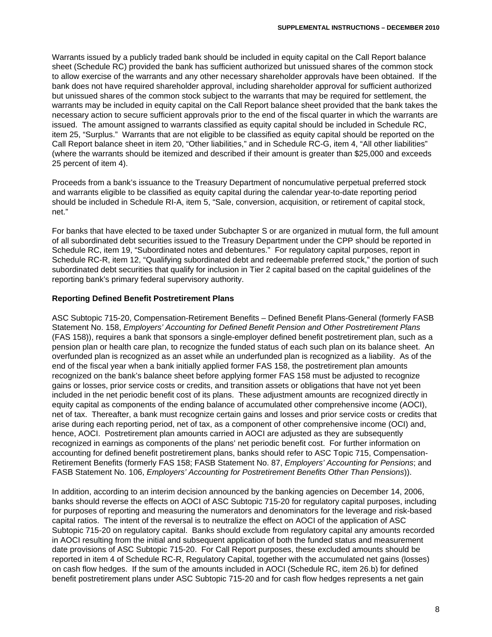Warrants issued by a publicly traded bank should be included in equity capital on the Call Report balance sheet (Schedule RC) provided the bank has sufficient authorized but unissued shares of the common stock to allow exercise of the warrants and any other necessary shareholder approvals have been obtained. If the bank does not have required shareholder approval, including shareholder approval for sufficient authorized but unissued shares of the common stock subject to the warrants that may be required for settlement, the warrants may be included in equity capital on the Call Report balance sheet provided that the bank takes the necessary action to secure sufficient approvals prior to the end of the fiscal quarter in which the warrants are issued. The amount assigned to warrants classified as equity capital should be included in Schedule RC, item 25, "Surplus." Warrants that are not eligible to be classified as equity capital should be reported on the Call Report balance sheet in item 20, "Other liabilities," and in Schedule RC-G, item 4, "All other liabilities" (where the warrants should be itemized and described if their amount is greater than \$25,000 and exceeds 25 percent of item 4).

Proceeds from a bank's issuance to the Treasury Department of noncumulative perpetual preferred stock and warrants eligible to be classified as equity capital during the calendar year-to-date reporting period should be included in Schedule RI-A, item 5, "Sale, conversion, acquisition, or retirement of capital stock, net."

For banks that have elected to be taxed under Subchapter S or are organized in mutual form, the full amount of all subordinated debt securities issued to the Treasury Department under the CPP should be reported in Schedule RC, item 19, "Subordinated notes and debentures." For regulatory capital purposes, report in Schedule RC-R, item 12, "Qualifying subordinated debt and redeemable preferred stock," the portion of such subordinated debt securities that qualify for inclusion in Tier 2 capital based on the capital guidelines of the reporting bank's primary federal supervisory authority.

## **Reporting Defined Benefit Postretirement Plans**

ASC Subtopic 715-20, Compensation-Retirement Benefits – Defined Benefit Plans-General (formerly FASB Statement No. 158, *Employers' Accounting for Defined Benefit Pension and Other Postretirement Plans* (FAS 158)), requires a bank that sponsors a single-employer defined benefit postretirement plan, such as a pension plan or health care plan, to recognize the funded status of each such plan on its balance sheet. An overfunded plan is recognized as an asset while an underfunded plan is recognized as a liability. As of the end of the fiscal year when a bank initially applied former FAS 158, the postretirement plan amounts recognized on the bank's balance sheet before applying former FAS 158 must be adjusted to recognize gains or losses, prior service costs or credits, and transition assets or obligations that have not yet been included in the net periodic benefit cost of its plans. These adjustment amounts are recognized directly in equity capital as components of the ending balance of accumulated other comprehensive income (AOCI), net of tax. Thereafter, a bank must recognize certain gains and losses and prior service costs or credits that arise during each reporting period, net of tax, as a component of other comprehensive income (OCI) and, hence, AOCI. Postretirement plan amounts carried in AOCI are adjusted as they are subsequently recognized in earnings as components of the plans' net periodic benefit cost. For further information on accounting for defined benefit postretirement plans, banks should refer to ASC Topic 715, Compensation-Retirement Benefits (formerly FAS 158; FASB Statement No. 87, *Employers' Accounting for Pensions*; and FASB Statement No. 106, *Employers' Accounting for Postretirement Benefits Other Than Pensions*)).

In addition, according to an interim decision announced by the banking agencies on December 14, 2006, banks should reverse the effects on AOCI of ASC Subtopic 715-20 for regulatory capital purposes, including for purposes of reporting and measuring the numerators and denominators for the leverage and risk-based capital ratios. The intent of the reversal is to neutralize the effect on AOCI of the application of ASC Subtopic 715-20 on regulatory capital. Banks should exclude from regulatory capital any amounts recorded in AOCI resulting from the initial and subsequent application of both the funded status and measurement date provisions of ASC Subtopic 715-20. For Call Report purposes, these excluded amounts should be reported in item 4 of Schedule RC-R, Regulatory Capital, together with the accumulated net gains (losses) on cash flow hedges. If the sum of the amounts included in AOCI (Schedule RC, item 26.b) for defined benefit postretirement plans under ASC Subtopic 715-20 and for cash flow hedges represents a net gain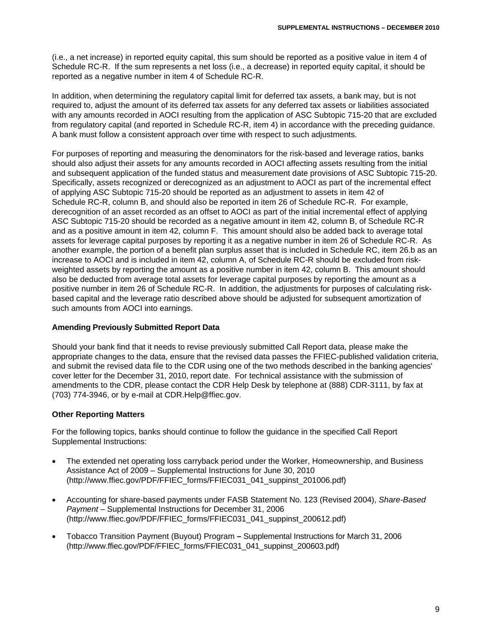(i.e., a net increase) in reported equity capital, this sum should be reported as a positive value in item 4 of Schedule RC-R. If the sum represents a net loss (i.e., a decrease) in reported equity capital, it should be reported as a negative number in item 4 of Schedule RC-R.

In addition, when determining the regulatory capital limit for deferred tax assets, a bank may, but is not required to, adjust the amount of its deferred tax assets for any deferred tax assets or liabilities associated with any amounts recorded in AOCI resulting from the application of ASC Subtopic 715-20 that are excluded from regulatory capital (and reported in Schedule RC-R, item 4) in accordance with the preceding guidance. A bank must follow a consistent approach over time with respect to such adjustments.

For purposes of reporting and measuring the denominators for the risk-based and leverage ratios, banks should also adjust their assets for any amounts recorded in AOCI affecting assets resulting from the initial and subsequent application of the funded status and measurement date provisions of ASC Subtopic 715-20. Specifically, assets recognized or derecognized as an adjustment to AOCI as part of the incremental effect of applying ASC Subtopic 715-20 should be reported as an adjustment to assets in item 42 of Schedule RC-R, column B, and should also be reported in item 26 of Schedule RC-R. For example, derecognition of an asset recorded as an offset to AOCI as part of the initial incremental effect of applying ASC Subtopic 715-20 should be recorded as a negative amount in item 42, column B, of Schedule RC-R and as a positive amount in item 42, column F. This amount should also be added back to average total assets for leverage capital purposes by reporting it as a negative number in item 26 of Schedule RC-R. As another example, the portion of a benefit plan surplus asset that is included in Schedule RC, item 26.b as an increase to AOCI and is included in item 42, column A, of Schedule RC-R should be excluded from riskweighted assets by reporting the amount as a positive number in item 42, column B. This amount should also be deducted from average total assets for leverage capital purposes by reporting the amount as a positive number in item 26 of Schedule RC-R. In addition, the adjustments for purposes of calculating riskbased capital and the leverage ratio described above should be adjusted for subsequent amortization of such amounts from AOCI into earnings.

## **Amending Previously Submitted Report Data**

Should your bank find that it needs to revise previously submitted Call Report data, please make the appropriate changes to the data, ensure that the revised data passes the FFIEC-published validation criteria, and submit the revised data file to the CDR using one of the two methods described in the banking agencies' cover letter for the December 31, 2010, report date. For technical assistance with the submission of amendments to the CDR, please contact the CDR Help Desk by telephone at (888) CDR-3111, by fax at (703) 774-3946, or by e-mail at CDR.Help@ffiec.gov.

## **Other Reporting Matters**

For the following topics, banks should continue to follow the guidance in the specified Call Report Supplemental Instructions:

- The extended net operating loss carryback period under the Worker, Homeownership, and Business Assistance Act of 2009 – Supplemental Instructions for June 30, 2010 (http://www.ffiec.gov/PDF/FFIEC\_forms/FFIEC031\_041\_suppinst\_201006.pdf)
- Accounting for share-based payments under FASB Statement No. 123 (Revised 2004), *Share-Based Payment* – Supplemental Instructions for December 31, 2006 (http://www.ffiec.gov/PDF/FFIEC\_forms/FFIEC031\_041\_suppinst\_200612.pdf)
- Tobacco Transition Payment (Buyout) Program **–** Supplemental Instructions for March 31, 2006 (http://www.ffiec.gov/PDF/FFIEC\_forms/FFIEC031\_041\_suppinst\_200603.pdf)